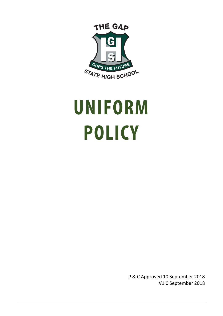<span id="page-0-0"></span>

# **UNIFORM POLICY**

P & C Approved 10 September 2018 V1.0 September 2018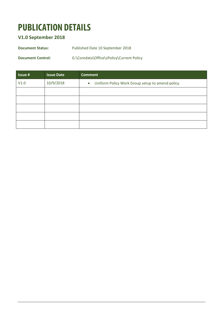## **PUBLICATION DETAILS**

#### **V1.0 September 2018**

**Document Status:** Published Date 10 September 2018

**Document Control:** G:\Coredata\Office\zPolicy\Current Policy

| <b>Issue#</b> | <b>Issue Date</b> | <b>Comment</b>                                                |
|---------------|-------------------|---------------------------------------------------------------|
| V1.0          | 10/9/2018         | Uniform Policy Work Group setup to amend policy.<br>$\bullet$ |
|               |                   |                                                               |
|               |                   |                                                               |
|               |                   |                                                               |
|               |                   |                                                               |
|               |                   |                                                               |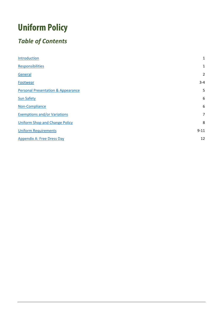# **Uniform Policy**

## *Table of Contents*

| Introduction                                  | $\mathbf{1}$   |
|-----------------------------------------------|----------------|
| <b>Responsibilities</b>                       | 1              |
| General                                       | $\overline{2}$ |
| Footwear                                      | $3 - 4$        |
| <b>Personal Presentation &amp; Appearance</b> | 5              |
| <b>Sun Safety</b>                             | 6              |
| Non-Compliance                                | 6              |
| <b>Exemptions and/or Variations</b>           | $\overline{7}$ |
| <b>Uniform Shop and Change Policy</b>         | 8              |
| <b>Uniform Requirements</b>                   | $9 - 11$       |
| <b>Appendix A: Free Dress Day</b>             | 12             |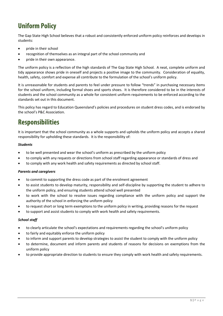#### **Uniform Policy**

The Gap State High School believes that a robust and consistently enforced uniform policy reinforces and develops in students:

- pride in their school
- recognition of themselves as an integral part of the school community and
- pride in their own appearance.

The uniform policy is a reflection of the high standards of The Gap State High School. A neat, complete uniform and tidy appearance shows pride in oneself and projects a positive image to the community. Consideration of equality, health, safety, comfort and expense all contribute to the formulation of the school's uniform policy.

It is unreasonable for students and parents to feel under pressure to follow "trends" in purchasing necessary items for the school uniform, including formal shoes and sports shoes. It is therefore considered to be in the interests of students and the school community as a whole for consistent uniform requirements to be enforced according to the standards set out in this document.

This policy has regard to Education Queensland's policies and procedures on student dress codes, and is endorsed by the school's P&C Association.

#### <span id="page-3-0"></span>**Responsibilities**

It is important that the school community as a whole supports and upholds the uniform policy and accepts a shared responsibility for upholding these standards. It is the responsibility of:

#### *Students*

- to be well presented and wear the school's uniform as prescribed by the uniform policy
- to comply with any requests or directions from school staff regarding appearance or standards of dress and
- to comply with any work health and safety requirements as directed by school staff.

#### *Parents and caregivers*

- to commit to supporting the dress code as part of the enrolment agreement
- to assist students to develop maturity, responsibility and self-discipline by supporting the student to adhere to the uniform policy, and ensuring students attend school well presented
- to work with the school to resolve issues regarding compliance with the uniform policy and support the authority of the school in enforcing the uniform policy
- to request short or long term exemptions to the uniform policy in writing, providing reasons for the request
- to support and assist students to comply with work health and safety requirements.

#### *School staff*

- to clearly articulate the school's expectations and requirements regarding the school's uniform policy
- to fairly and equitably enforce the uniform policy
- to inform and support parents to develop strategies to assist the student to comply with the uniform policy
- to determine, document and inform parents and students of reasons for decisions on exemptions from the uniform policy
- <span id="page-3-1"></span>• to provide appropriate direction to students to ensure they comply with work health and safety requirements.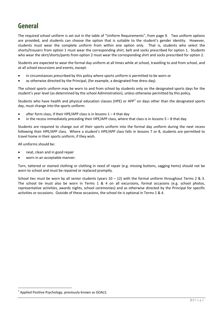#### **General**

The required school uniform is set out in the table of "Uniform Requirements", from page 9. Two uniform options are provided, and students can choose the option that is suitable to the student's gender identity. However, students must wear the complete uniform from within one option only. That is, students who select the shorts/trousers from option 1 must wear the corresponding shirt, belt and socks prescribed for option 1. Students who wear the skirt/shorts/pants from option 2 must wear the corresponding shirt and socks prescribed for option 2.

Students are expected to wear the formal day uniform at all times while at school, travelling to and from school, and at all school excursions and events, except:

- in circumstances prescribed by this policy where sports uniform is permitted to be worn or
- as otherwise directed by the Principal, (for example, a designated free dress day).

The school sports uniform may be worn to and from school by students only on the designated sports days for the student's year level (as determined by the school Administration), unless otherwise permitted by this policy.

Students who have health and physical education classes (HPE) or APP<sup>[1](#page-4-1)</sup> on days other than the designated sports day, must change into the sports uniform:

- after form class, if their HPE/APP class is in lessons  $1 4$  that day
- in the recess immediately preceding their HPE/APP class, where that class is in lessons  $5 8$  that day.

Students are required to change out of their sports uniform into the formal day uniform during the next recess following their HPE/APP class. Where a student's HPE/APP class falls in lessons 7 or 8, students are permitted to travel home in their sports uniform, if they wish.

All uniforms should be:

- neat, clean and in good repair
- worn in an acceptable manner.

Torn, tattered or stained clothing or clothing in need of repair (e.g. missing buttons, sagging hems) should not be worn to school and must be repaired or replaced promptly.

<span id="page-4-0"></span>School ties must be worn by all senior students (years  $10 - 12$ ) with the formal uniform throughout Terms 2 & 3. The school tie must also be worn in Terms 1 & 4 on all excursions, formal occasions (e.g. school photos, representative activities, awards nights, school ceremonies) and as otherwise directed by the Principal for specific activities or occasions. Outside of these occasions, the school tie is optional in Terms 1 & 4.

<span id="page-4-1"></span><sup>1</sup> Applied Positive Psychology, previously known as GOALS.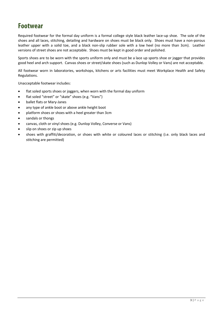#### **Footwear**

Required footwear for the formal day uniform is a formal college style black leather lace-up shoe. The sole of the shoes and all laces, stitching, detailing and hardware on shoes must be black only. Shoes must have a non-porous leather upper with a solid toe, and a black non-slip rubber sole with a low heel (no more than 3cm). Leather versions of street shoes are not acceptable. Shoes must be kept in good order and polished.

Sports shoes are to be worn with the sports uniform only and must be a lace up sports shoe or jogger that provides good heel and arch support. Canvas shoes or street/skate shoes (such as Dunlop Volley or Vans) are not acceptable.

All footwear worn in laboratories, workshops, kitchens or arts facilities must meet Workplace Health and Safety Regulations.

Unacceptable footwear includes:

- flat soled sports shoes or joggers, when worn with the formal day uniform
- flat soled "street" or "skate" shoes (e.g. "Vans")
- ballet flats or Mary-Janes
- any type of ankle boot or above ankle height boot
- platform shoes or shoes with a heel greater than 3cm
- sandals or thongs
- canvas, cloth or vinyl shoes (e.g. Dunlop Volley, Converse or Vans)
- slip on shoes or zip up shoes
- shoes with graffiti/decoration, or shoes with white or coloured laces or stitching (i.e. only black laces and stitching are permitted)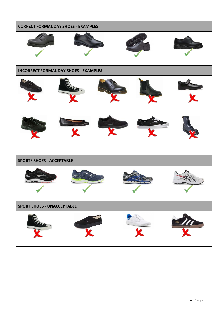| <b>CORRECT FORMAL DAY SHOES - EXAMPLES</b>   |  |  |  |  |
|----------------------------------------------|--|--|--|--|
|                                              |  |  |  |  |
| <b>INCORRECT FORMAL DAY SHOES - EXAMPLES</b> |  |  |  |  |
|                                              |  |  |  |  |
|                                              |  |  |  |  |

<span id="page-6-0"></span>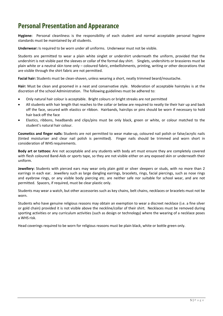#### **Personal Presentation and Appearance**

**Hygiene:** Personal cleanliness is the responsibility of each student and normal acceptable personal hygiene standards must be maintained by all students.

**Underwear:** Is required to be worn under all uniforms. Underwear must not be visible.

Students are permitted to wear a plain white singlet or undershirt underneath the uniform, provided that the undershirt is not visible past the sleeves or collar of the formal day shirt. Singlets, undershirts or brassieres must be plain white or a neutral skin tone only – coloured fabric, embellishments, printing, writing or other decorations that are visible through the shirt fabric are not permitted.

**Facial hair:** Students must be clean-shaven, unless wearing a short, neatly trimmed beard/moustache.

**Hair:** Must be clean and groomed in a neat and conservative style. Moderation of acceptable hairstyles is at the discretion of the school Administration. The following guidelines must be adhered to:

- Only natural hair colour is acceptable. Bright colours or bright streaks are not permitted
- All students with hair length that reaches to the collar or below are required to neatly tie their hair up and back off the face, secured with elastics or ribbon. Hairbands, hairclips or pins should be worn if necessary to hold hair back off the face
- Elastics, ribbons, headbands and clips/pins must be only black, green or white, or colour matched to the student's natural hair colour.

**Cosmetics and finger nails:** Students are not permitted to wear make-up, coloured nail polish or false/acrylic nails (tinted moisturiser and clear nail polish is permitted). Finger nails should be trimmed and worn short in consideration of WHS requirements.

**Body art or tattoos:** Are not acceptable and any students with body art must ensure they are completely covered with flesh coloured Band-Aids or sports tape, so they are not visible either on any exposed skin or underneath their uniform.

**Jewellery:** Students with pierced ears may wear only plain gold or silver sleepers or studs, with no more than 2 earrings in each ear. Jewellery such as large dangling earrings, bracelets, rings, facial piercings, such as nose rings and eyebrow rings, or any visible body piercing etc. are neither safe nor suitable for school wear, and are not permitted. Spacers, if required, must be clear plastic only.

Students may wear a watch, but other accessories such as key chains, belt chains, necklaces or bracelets must not be worn.

Students who have genuine religious reasons may obtain an exemption to wear a discreet necklace (i.e. a fine silver or gold chain) provided it is not visible above the neckline/collar of their shirt. Necklaces must be removed during sporting activities or any curriculum activities (such as design or technology) where the wearing of a necklace poses a WHS risk.

Head coverings required to be worn for religious reasons must be plain black, white or bottle green only.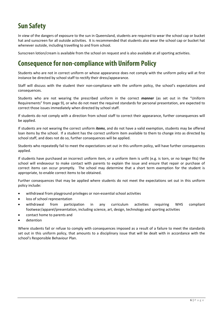#### <span id="page-8-0"></span>**Sun Safety**

In view of the dangers of exposure to the sun in Queensland, students are required to wear the school cap or bucket hat and sunscreen for all outside activities. It is recommended that students also wear the school cap or bucket hat whenever outside, including travelling to and from school.

Sunscreen lotion/cream is available from the school on request and is also available at all sporting activities.

#### <span id="page-8-1"></span>**Consequence for non-compliance with Uniform Policy**

Students who are not in correct uniform or whose appearance does not comply with the uniform policy will at first instance be directed by school staff to rectify their dress/appearance.

Staff will discuss with the student their non-compliance with the uniform policy, the school's expectations and consequences.

Students who are not wearing the prescribed uniform in the correct *manner* (as set out in the "Uniform Requirements" from page 9), or who do not meet the required standards for personal presentation, are expected to correct those issues immediately when directed by school staff.

If students do not comply with a direction from school staff to correct their appearance, further consequences will be applied.

If students are not wearing the correct uniform *items*, and do not have a valid exemption, students may be offered loan items by the school. If a student has the correct uniform item available to them to change into as directed by school staff, and does not do so, further consequences will be applied.

Students who repeatedly fail to meet the expectations set out in this uniform policy, will have further consequences applied.

If students have purchased an incorrect uniform item, or a uniform item is unfit (e.g. is torn, or no longer fits) the school will endeavour to make contact with parents to explain the issue and ensure that repair or purchase of correct items can occur promptly. The school may determine that a short term exemption for the student is appropriate, to enable correct items to be obtained.

Further consequences that may be applied where students do not meet the expectations set out in this uniform policy include:

- withdrawal from playground privileges or non-essential school activities
- loss of school representation
- withdrawal from participation in any curriculum activities requiring WHS compliant footwear/apparel/presentation, including science, art, design, technology and sporting activities
- contact home to parents and
- detention

Where students fail or refuse to comply with consequences imposed as a result of a failure to meet the standards set out in this uniform policy, that amounts to a disciplinary issue that will be dealt with in accordance with the school's Responsible Behaviour Plan.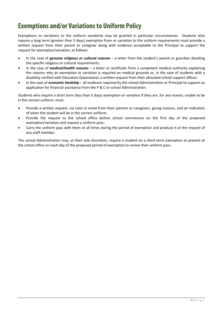#### <span id="page-9-0"></span>**Exemptions and/or Variations to Uniform Policy**

Exemptions or variations to the uniform standards may be granted in particular circumstances. Students who require a long term (greater than 5 days) exemption from or variation to the uniform requirements must provide a written request from their parent or caregiver along with evidence acceptable to the Principal to support the request for exemption/variation, as follows:

- In the case of *genuine religious or cultural reasons* a letter from the student's parent or guardian detailing the specific religious or cultural requirements;
- In the case of *medical/health reasons* a letter or certificate from a competent medical authority explaining the reasons why an exemption or variation is required on medical grounds or, in the case of students with a disability verified with Education Queensland, a written request from their allocated school support officer;
- In the case of *economic hardship* all evidence required by the school Administration or Principal to support an application for financial assistance from the P & C or school Administration.

Students who require a short term (less than 5 days) exemption or variation if they are, for any reason, unable to be in the correct uniform, must:

- Provide a written request, via note or email from their parents or caregivers, giving reasons, and an indication of when the student will be in the correct uniform;
- Provide the request to the school office before school commences on the first day of the proposed exemption/variation and request a uniform pass;
- Carry the uniform pass with them at all times during the period of exemption and produce it at the request of any staff member.

The school Administration may, at their sole discretion, require a student on a short-term exemption to present at the school office on each day of the proposed period of exemption to renew their uniform pass.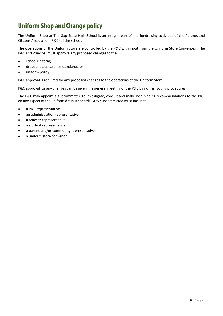#### <span id="page-10-0"></span>**Uniform Shop and Change policy**

The Uniform Shop at The Gap State High School is an integral part of the fundraising activities of the Parents and Citizens Association (P&C) of the school.

The operations of the Uniform Store are controlled by the P&C with input from the Uniform Store Convenors. The P&C and Principal must approve any proposed changes to the:

- school uniform;
- dress and appearance standards; or
- uniform policy.

P&C approval is required for any proposed changes to the operations of the Uniform Store.

P&C approval for any changes can be given in a general meeting of the P&C by normal voting procedures.

The P&C may appoint a subcommittee to investigate, consult and make non-binding recommendations to the P&C on any aspect of the uniform dress standards. Any subcommittee must include:

- a P&C representative
- an administration representative
- a teacher representative
- a student representative
- a parent and/or community representative
- a uniform store convenor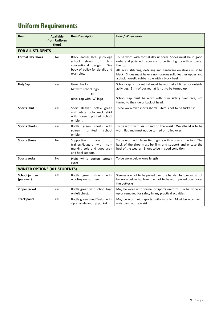## <span id="page-11-0"></span>**Uniform Requirements**

| <b>Item</b>                          | <b>Available</b><br>from Uniform<br>Shop? | <b>Item Description</b>                                                                                                                       | How / When worn                                                                                                                                                                                                                                                                                                            |
|--------------------------------------|-------------------------------------------|-----------------------------------------------------------------------------------------------------------------------------------------------|----------------------------------------------------------------------------------------------------------------------------------------------------------------------------------------------------------------------------------------------------------------------------------------------------------------------------|
| <b>FOR ALL STUDENTS</b>              |                                           |                                                                                                                                               |                                                                                                                                                                                                                                                                                                                            |
| <b>Formal Day Shoes</b>              | <b>No</b>                                 | Black leather lace-up college<br>shoes<br>οf<br>school<br>plain<br>conventional design.<br>See<br>body of policy for details and<br>examples. | To be worn with formal day uniform. Shoes must be in good<br>order and polished. Laces are to be tied tightly with a bow at<br>the top.<br>All laces, stitching, detailing and hardware on shoes must be<br>black. Shoes must have a non-porous solid leather upper and<br>a black non-slip rubber sole with a block heel. |
| Hat/Cap                              | Yes                                       | Green bucket<br>hat with school logo<br>OR<br>Black cap with "G" logo                                                                         | School cap or bucket hat must be worn at all times for outside<br>activities. Brim of bucket hat is not to be turned up.<br>School cap must be worn with brim sitting over face, not<br>turned to the side or back of head.                                                                                                |
| <b>Sports Shirt</b>                  | Yes                                       | Short sleeved bottle green<br>and white polo neck shirt<br>with screen printed school<br>emblem.                                              | To be worn over sports shorts. Shirt is not to be tucked in.                                                                                                                                                                                                                                                               |
| <b>Sports Shorts</b>                 | Yes                                       | Bottle green shorts with<br>printed<br>school<br>screen<br>emblem                                                                             | To be worn with waistband on the waist. Waistband is to be<br>worn flat and must not be turned or rolled over.                                                                                                                                                                                                             |
| <b>Sports Shoes</b>                  | No                                        | Supportive<br>lace<br>up<br>trainers/joggers with non-<br>marking sole and good arch<br>and heel support.                                     | To be worn with laces tied tightly with a bow at the top. The<br>back of the shoe must be firm and support and encase the<br>heel of the wearer. Shoes to be in good condition.                                                                                                                                            |
| <b>Sports socks</b>                  | <b>No</b>                                 | Plain white cotton stretch<br>socks.                                                                                                          | To be worn below knee length.                                                                                                                                                                                                                                                                                              |
| <b>WINTER OPTIONS (ALL STUDENTS)</b> |                                           |                                                                                                                                               |                                                                                                                                                                                                                                                                                                                            |
| School jumper<br>(pullover)          | Yes                                       | Bottle green V-neck with<br>wool/nylon 'soft feel'                                                                                            | Sleeves are not to be pulled over the hands. Jumper must not<br>be worn below hip level (i.e. not to be worn pulled down over<br>the buttocks).                                                                                                                                                                            |
| Zipper jacket                        | Yes                                       | Bottle green with school logo<br>on left chest.                                                                                               | May be worn with formal or sports uniform. To be zippered<br>up or removed for safety in any practical activities.                                                                                                                                                                                                         |
| <b>Track pants</b>                   | Yes                                       | Bottle green lined Taslon with<br>zip at ankle and zip pocket                                                                                 | May be worn with sports uniform only. Must be worn with<br>waistband at the waist.                                                                                                                                                                                                                                         |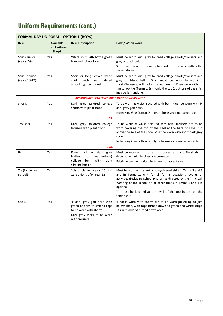## **Uniform Requirements (cont.)**

| <b>FORMAL DAY UNIFORM - OPTION 1 (BOYS)</b> |                                           |                                                                                                                                         |                                                                                                                                                                                                                                                                                                                                                            |
|---------------------------------------------|-------------------------------------------|-----------------------------------------------------------------------------------------------------------------------------------------|------------------------------------------------------------------------------------------------------------------------------------------------------------------------------------------------------------------------------------------------------------------------------------------------------------------------------------------------------------|
| <b>Item</b>                                 | <b>Available</b><br>from Uniform<br>Shop? | <b>Item Description</b>                                                                                                                 | How / When worn                                                                                                                                                                                                                                                                                                                                            |
| Shirt - Junior<br>(years 7-9)               | Yes                                       | White shirt with bottle green<br>trim and school logo.                                                                                  | Must be worn with grey tailored college shorts/trousers and<br>grey or black belt.<br>Shirt must be worn tucked into shorts or trousers, with collar<br>turned down.                                                                                                                                                                                       |
| Shirt - Senior<br>(years 10-12)             | Yes                                       | Short or long-sleeved white<br>with<br>embroidered<br>shirt<br>school logo on pocket                                                    | Must be worn with grey tailored college shorts/trousers and<br>grey or black belt.<br>Shirt must be worn tucked into<br>shorts/trousers, with collar turned down. When worn without<br>the school tie (Terms 1 & 4) only the top 2 buttons of the shirt<br>may be left undone.                                                                             |
|                                             |                                           | <b>APPROPRIATE YEAR LEVEL SHIRT MUST BE WORN WITH:</b>                                                                                  |                                                                                                                                                                                                                                                                                                                                                            |
| Shorts                                      | Yes                                       | Dark grey tailored college<br>shorts with pleat front.                                                                                  | To be worn at waist, secured with belt. Must be worn with 34<br>dark grey golf hose.<br>Note: King Gee Cotton Drill type shorts are not acceptable                                                                                                                                                                                                         |
| <b>OR</b>                                   |                                           |                                                                                                                                         |                                                                                                                                                                                                                                                                                                                                                            |
| <b>Trousers</b>                             | Yes                                       | Dark grey tailored college<br>trousers with pleat front.                                                                                | To be worn at waist, secured with belt. Trousers are to be<br>worn covering the top of the heel at the back of shoe, but<br>above the sole of the shoe. Must be worn with short dark grey<br>socks.<br>Note: King Gee Cotton Drill type trousers are not acceptable                                                                                        |
| <b>AND</b>                                  |                                           |                                                                                                                                         |                                                                                                                                                                                                                                                                                                                                                            |
| Belt                                        | Yes                                       | Plain black or dark grey<br>leather<br>(or<br>leather-look)<br>belt<br>college<br>with<br>plain<br>slimline buckle.                     | Must be worn with shorts and trousers at waist. No studs or<br>decorative metal buckles are permitted.<br>Fabric, woven or plaited belts are not acceptable.                                                                                                                                                                                               |
| Tie (for senior<br>school)                  | Yes                                       | School tie for Years 10 and<br>11, Senior tie for Year 12                                                                               | Must be worn with short or long-sleeved shirt in Terms 2 and 3<br>and in Terms 1and 4 for all formal occasions, events or<br>activities (including school photos) as directed by the Principal.<br>Wearing of the school tie at other times in Terms 1 and 4 is<br>optional.<br>Tie must be knotted at the level of the top button on the<br>senior shirt. |
| Socks                                       | Yes                                       | 3⁄4 dark grey golf hose with<br>green and white striped tops<br>to be worn with shorts.<br>Dark grey socks to be worn<br>with trousers. | 34 socks worn with shorts are to be worn pulled up to just<br>below knee, with tops turned down so green and white stripe<br>sits in middle of turned down area.                                                                                                                                                                                           |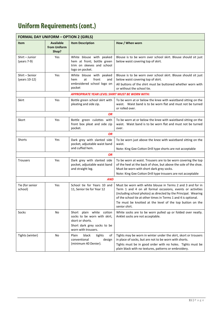## **Uniform Requirements (cont.)**

| <b>FORMAL DAY UNIFORM - OPTION 2 (GIRLS)</b> |                                           |                                                                                                                                    |                                                                                                                                                                                                                                                                                                                                             |
|----------------------------------------------|-------------------------------------------|------------------------------------------------------------------------------------------------------------------------------------|---------------------------------------------------------------------------------------------------------------------------------------------------------------------------------------------------------------------------------------------------------------------------------------------------------------------------------------------|
| <b>Item</b>                                  | <b>Available</b><br>from Uniform<br>Shop? | <b>Item Description</b>                                                                                                            | How / When worn                                                                                                                                                                                                                                                                                                                             |
| Shirt - Junior<br>(years 7-9)                | Yes                                       | White blouse with peaked<br>hem at front; bottle green<br>trim on sleeves and school<br>logo on pocket.                            | Blouse is to be worn over school skirt. Blouse should sit just<br>below waist covering top of skirt.                                                                                                                                                                                                                                        |
| Shirt - Senior<br>(years 10-12)              | Yes                                       | White blouse with peaked<br>at<br>front<br>hem<br>and<br>embroidered school logo on<br>pocket                                      | Blouse is to be worn over school skirt. Blouse should sit just<br>below waist covering top of skirt.<br>All buttons of the shirt must be buttoned whether worn with<br>or without the school tie.                                                                                                                                           |
|                                              |                                           | <b>APPROPRIATE YEAR LEVEL SHIRT MUST BE WORN WITH:</b>                                                                             |                                                                                                                                                                                                                                                                                                                                             |
| Skirt                                        | Yes                                       | Bottle green school skirt with<br>pleating and side zip.                                                                           | To be worn at or below the knee with waistband sitting on the<br>waist. Waist band is to be worn flat and must not be turned<br>or rolled over.                                                                                                                                                                                             |
|                                              |                                           | OR                                                                                                                                 |                                                                                                                                                                                                                                                                                                                                             |
| Skort                                        | Yes                                       | Bottle green culottes with<br>front box pleat and side zip<br>pocket.                                                              | To be worn at or below the knee with waistband sitting on the<br>waist. Waist band is to be worn flat and must not be turned<br>over.                                                                                                                                                                                                       |
|                                              |                                           | <b>OR</b>                                                                                                                          |                                                                                                                                                                                                                                                                                                                                             |
| Shorts                                       | Yes                                       | Dark grey with slanted side<br>pocket, adjustable waist band                                                                       | To be worn just above the knee with waistband sitting on the<br>waist.                                                                                                                                                                                                                                                                      |
|                                              |                                           | and cuffed hem.                                                                                                                    | Note: King Gee Cotton Drill type shorts are not acceptable                                                                                                                                                                                                                                                                                  |
|                                              |                                           | OR                                                                                                                                 |                                                                                                                                                                                                                                                                                                                                             |
| <b>Trousers</b>                              | Yes                                       | Dark grey with slanted side<br>pocket, adjustable waist band<br>and straight leg.                                                  | To be worn at waist. Trousers are to be worn covering the top<br>of the heel at the back of shoe, but above the sole of the shoe.<br>Must be worn with short dark grey socks.<br>Note: King Gee Cotton Drill type trousers are not acceptable                                                                                               |
| <b>AND</b>                                   |                                           |                                                                                                                                    |                                                                                                                                                                                                                                                                                                                                             |
| Tie (for senior<br>school)                   | Yes                                       | School tie for Years 10 and<br>11, Senior tie for Year 12                                                                          | Must be worn with white blouse in Terms 2 and 3 and for in<br>Term 1 and 4 on all formal occasions, events or activities<br>(including school photos) as directed by the Principal. Wearing<br>of the school tie at other times in Terms 1 and 4 is optional.<br>Tie must be knotted at the level of the top button on the<br>senior shirt. |
| Socks                                        | No                                        | Short plain white cotton<br>socks to be worn with skirt,<br>skort or shorts.<br>Short dark grey socks to be<br>worn with trousers. | White socks are to be worn pulled up or folded over neatly.<br>Anklet socks are not acceptable.                                                                                                                                                                                                                                             |
| Tights (winter)                              | No                                        | Plain<br>black<br>tights<br>of<br>conventional<br>design<br>(minimum 40 Denier).                                                   | Tights may be worn in winter under the skirt, skort or trousers<br>in place of socks, but are not to be worn with shorts.<br>Tights must be in good order with no holes. Tights must be<br>plain black with no textures, patterns or embroidery.                                                                                            |